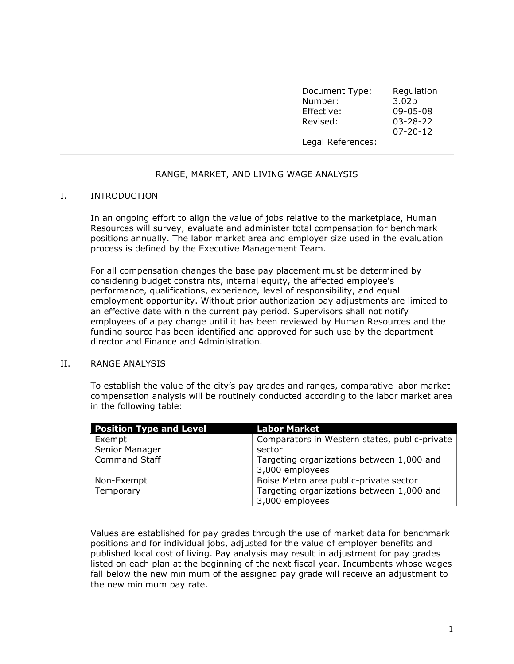Document Type: Regulation Number: 3.02b Effective: 09-05-08 Revised: 03-28-22 07-20-12 Legal References:

# RANGE, MARKET, AND LIVING WAGE ANALYSIS

### I. INTRODUCTION

In an ongoing effort to align the value of jobs relative to the marketplace, Human Resources will survey, evaluate and administer total compensation for benchmark positions annually. The labor market area and employer size used in the evaluation process is defined by the Executive Management Team.

For all compensation changes the base pay placement must be determined by considering budget constraints, internal equity, the affected employee's performance, qualifications, experience, level of responsibility, and equal employment opportunity. Without prior authorization pay adjustments are limited to an effective date within the current pay period. Supervisors shall not notify employees of a pay change until it has been reviewed by Human Resources and the funding source has been identified and approved for such use by the department director and Finance and Administration.

#### II. RANGE ANALYSIS

To establish the value of the city's pay grades and ranges, comparative labor market compensation analysis will be routinely conducted according to the labor market area in the following table:

| <b>Position Type and Level</b> | <b>Labor Market</b>                           |
|--------------------------------|-----------------------------------------------|
| Exempt                         | Comparators in Western states, public-private |
| Senior Manager                 | sector                                        |
| <b>Command Staff</b>           | Targeting organizations between 1,000 and     |
|                                | 3,000 employees                               |
| Non-Exempt                     | Boise Metro area public-private sector        |
| Temporary                      | Targeting organizations between 1,000 and     |
|                                | 3,000 employees                               |

Values are established for pay grades through the use of market data for benchmark positions and for individual jobs, adjusted for the value of employer benefits and published local cost of living. Pay analysis may result in adjustment for pay grades listed on each plan at the beginning of the next fiscal year. Incumbents whose wages fall below the new minimum of the assigned pay grade will receive an adjustment to the new minimum pay rate.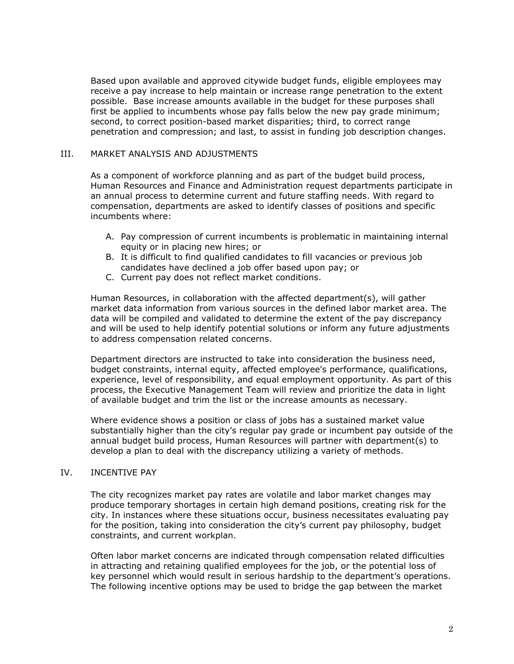Based upon available and approved citywide budget funds, eligible employees may receive a pay increase to help maintain or increase range penetration to the extent possible. Base increase amounts available in the budget for these purposes shall first be applied to incumbents whose pay falls below the new pay grade minimum; second, to correct position-based market disparities; third, to correct range penetration and compression; and last, to assist in funding job description changes.

### III. MARKET ANALYSIS AND ADJUSTMENTS

As a component of workforce planning and as part of the budget build process, Human Resources and Finance and Administration request departments participate in an annual process to determine current and future staffing needs. With regard to compensation, departments are asked to identify classes of positions and specific incumbents where:

- A. Pay compression of current incumbents is problematic in maintaining internal equity or in placing new hires; or
- B. It is difficult to find qualified candidates to fill vacancies or previous job candidates have declined a job offer based upon pay; or
- C. Current pay does not reflect market conditions.

Human Resources, in collaboration with the affected department(s), will gather market data information from various sources in the defined labor market area. The data will be compiled and validated to determine the extent of the pay discrepancy and will be used to help identify potential solutions or inform any future adjustments to address compensation related concerns.

Department directors are instructed to take into consideration the business need, budget constraints, internal equity, affected employee's performance, qualifications, experience, level of responsibility, and equal employment opportunity. As part of this process, the Executive Management Team will review and prioritize the data in light of available budget and trim the list or the increase amounts as necessary.

Where evidence shows a position or class of jobs has a sustained market value substantially higher than the city's regular pay grade or incumbent pay outside of the annual budget build process, Human Resources will partner with department(s) to develop a plan to deal with the discrepancy utilizing a variety of methods.

# IV. INCENTIVE PAY

The city recognizes market pay rates are volatile and labor market changes may produce temporary shortages in certain high demand positions, creating risk for the city. In instances where these situations occur, business necessitates evaluating pay for the position, taking into consideration the city's current pay philosophy, budget constraints, and current workplan.

Often labor market concerns are indicated through compensation related difficulties in attracting and retaining qualified employees for the job, or the potential loss of key personnel which would result in serious hardship to the department's operations. The following incentive options may be used to bridge the gap between the market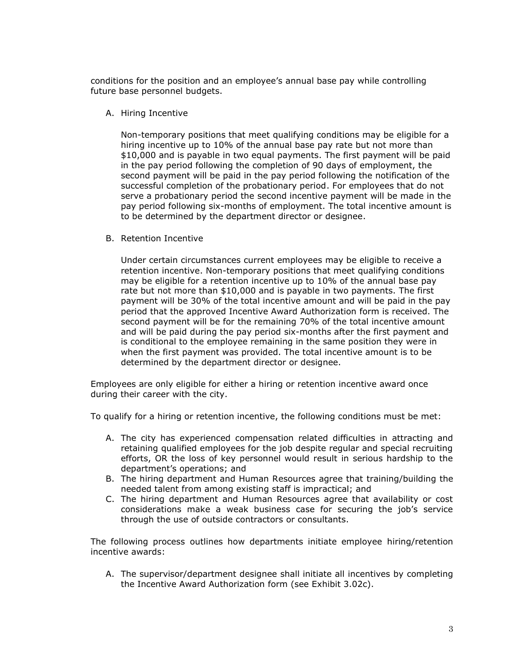conditions for the position and an employee's annual base pay while controlling future base personnel budgets.

A. Hiring Incentive

Non-temporary positions that meet qualifying conditions may be eligible for a hiring incentive up to 10% of the annual base pay rate but not more than \$10,000 and is payable in two equal payments. The first payment will be paid in the pay period following the completion of 90 days of employment, the second payment will be paid in the pay period following the notification of the successful completion of the probationary period. For employees that do not serve a probationary period the second incentive payment will be made in the pay period following six-months of employment. The total incentive amount is to be determined by the department director or designee.

B. Retention Incentive

Under certain circumstances current employees may be eligible to receive a retention incentive. Non-temporary positions that meet qualifying conditions may be eligible for a retention incentive up to 10% of the annual base pay rate but not more than \$10,000 and is payable in two payments. The first payment will be 30% of the total incentive amount and will be paid in the pay period that the approved Incentive Award Authorization form is received. The second payment will be for the remaining 70% of the total incentive amount and will be paid during the pay period six-months after the first payment and is conditional to the employee remaining in the same position they were in when the first payment was provided. The total incentive amount is to be determined by the department director or designee.

Employees are only eligible for either a hiring or retention incentive award once during their career with the city.

To qualify for a hiring or retention incentive, the following conditions must be met:

- A. The city has experienced compensation related difficulties in attracting and retaining qualified employees for the job despite regular and special recruiting efforts, OR the loss of key personnel would result in serious hardship to the department's operations; and
- B. The hiring department and Human Resources agree that training/building the needed talent from among existing staff is impractical; and
- C. The hiring department and Human Resources agree that availability or cost considerations make a weak business case for securing the job's service through the use of outside contractors or consultants.

The following process outlines how departments initiate employee hiring/retention incentive awards:

A. The supervisor/department designee shall initiate all incentives by completing the Incentive Award Authorization form (see Exhibit 3.02c).